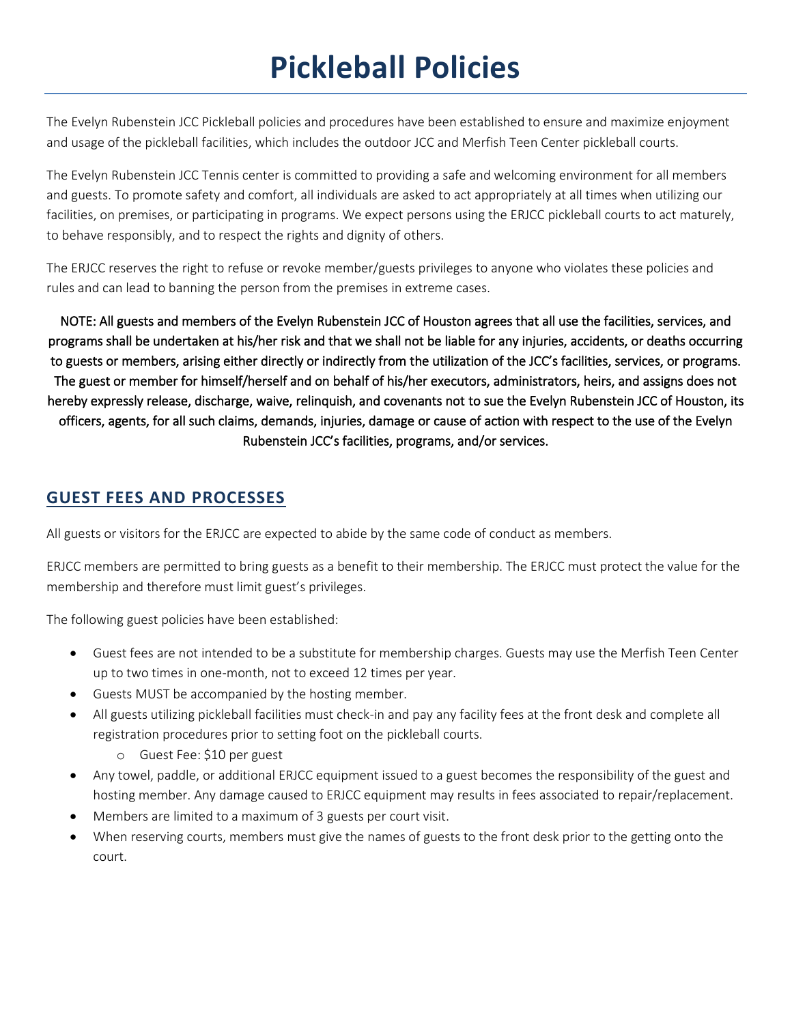# **Pickleball Policies**

The Evelyn Rubenstein JCC Pickleball policies and procedures have been established to ensure and maximize enjoyment and usage of the pickleball facilities, which includes the outdoor JCC and Merfish Teen Center pickleball courts.

The Evelyn Rubenstein JCC Tennis center is committed to providing a safe and welcoming environment for all members and guests. To promote safety and comfort, all individuals are asked to act appropriately at all times when utilizing our facilities, on premises, or participating in programs. We expect persons using the ERJCC pickleball courts to act maturely, to behave responsibly, and to respect the rights and dignity of others.

The ERJCC reserves the right to refuse or revoke member/guests privileges to anyone who violates these policies and rules and can lead to banning the person from the premises in extreme cases.

NOTE: All guests and members of the Evelyn Rubenstein JCC of Houston agrees that all use the facilities, services, and programs shall be undertaken at his/her risk and that we shall not be liable for any injuries, accidents, or deaths occurring to guests or members, arising either directly or indirectly from the utilization of the JCC's facilities, services, or programs. The guest or member for himself/herself and on behalf of his/her executors, administrators, heirs, and assigns does not hereby expressly release, discharge, waive, relinquish, and covenants not to sue the Evelyn Rubenstein JCC of Houston, its officers, agents, for all such claims, demands, injuries, damage or cause of action with respect to the use of the Evelyn Rubenstein JCC's facilities, programs, and/or services.

#### **GUEST FEES AND PROCESSES**

All guests or visitors for the ERJCC are expected to abide by the same code of conduct as members.

ERJCC members are permitted to bring guests as a benefit to their membership. The ERJCC must protect the value for the membership and therefore must limit guest's privileges.

The following guest policies have been established:

- Guest fees are not intended to be a substitute for membership charges. Guests may use the Merfish Teen Center up to two times in one-month, not to exceed 12 times per year.
- Guests MUST be accompanied by the hosting member.
- All guests utilizing pickleball facilities must check-in and pay any facility fees at the front desk and complete all registration procedures prior to setting foot on the pickleball courts.
	- o Guest Fee: \$10 per guest
- Any towel, paddle, or additional ERJCC equipment issued to a guest becomes the responsibility of the guest and hosting member. Any damage caused to ERJCC equipment may results in fees associated to repair/replacement.
- Members are limited to a maximum of 3 guests per court visit.
- When reserving courts, members must give the names of guests to the front desk prior to the getting onto the court.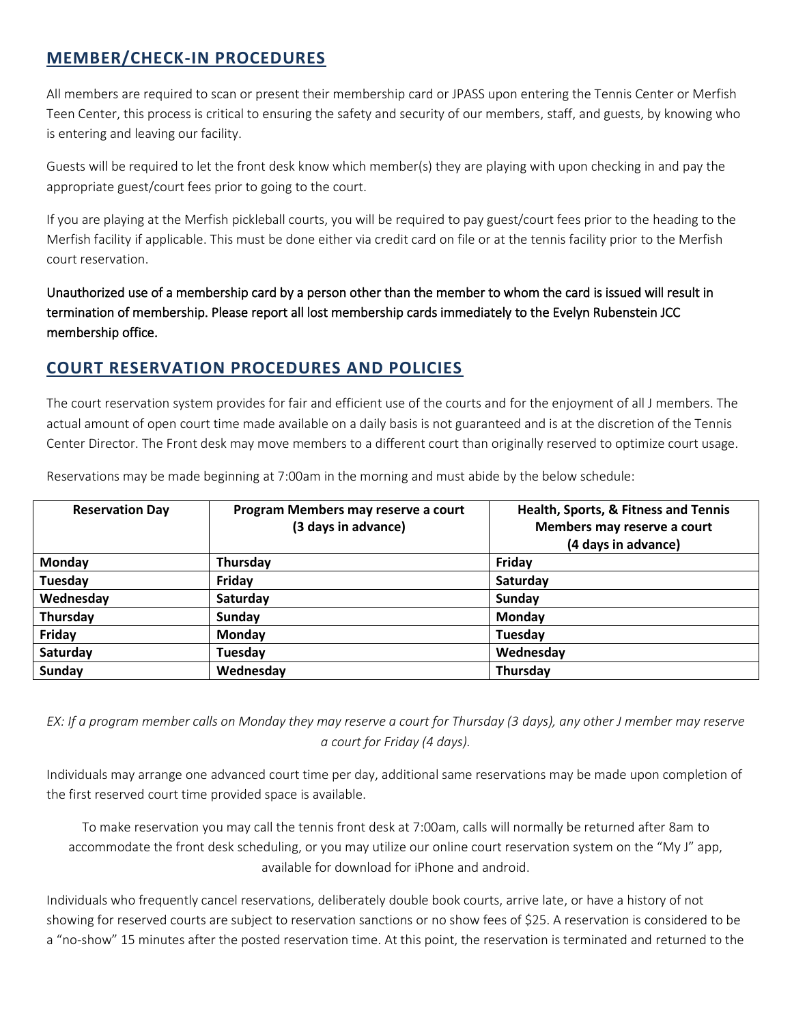## **MEMBER/CHECK-IN PROCEDURES**

All members are required to scan or present their membership card or JPASS upon entering the Tennis Center or Merfish Teen Center, this process is critical to ensuring the safety and security of our members, staff, and guests, by knowing who is entering and leaving our facility.

Guests will be required to let the front desk know which member(s) they are playing with upon checking in and pay the appropriate guest/court fees prior to going to the court.

If you are playing at the Merfish pickleball courts, you will be required to pay guest/court fees prior to the heading to the Merfish facility if applicable. This must be done either via credit card on file or at the tennis facility prior to the Merfish court reservation.

Unauthorized use of a membership card by a person other than the member to whom the card is issued will result in termination of membership. Please report all lost membership cards immediately to the Evelyn Rubenstein JCC membership office.

## **COURT RESERVATION PROCEDURES AND POLICIES**

The court reservation system provides for fair and efficient use of the courts and for the enjoyment of all J members. The actual amount of open court time made available on a daily basis is not guaranteed and is at the discretion of the Tennis Center Director. The Front desk may move members to a different court than originally reserved to optimize court usage.

| <b>Reservation Day</b> | Program Members may reserve a court | Health, Sports, & Fitness and Tennis |
|------------------------|-------------------------------------|--------------------------------------|
|                        | (3 days in advance)                 | Members may reserve a court          |
|                        |                                     | (4 days in advance)                  |
| Monday                 | Thursday                            | Friday                               |
| Tuesday                | Friday                              | Saturday                             |
| Wednesday              | Saturday                            | Sunday                               |
| Thursday               | Sunday                              | Monday                               |
| Friday                 | Monday                              | Tuesday                              |
| Saturday               | Tuesday                             | Wednesday                            |
| Sunday                 | Wednesday                           | Thursday                             |

Reservations may be made beginning at 7:00am in the morning and must abide by the below schedule:

*EX: If a program member calls on Monday they may reserve a court for Thursday (3 days), any other J member may reserve a court for Friday (4 days).*

Individuals may arrange one advanced court time per day, additional same reservations may be made upon completion of the first reserved court time provided space is available.

To make reservation you may call the tennis front desk at 7:00am, calls will normally be returned after 8am to accommodate the front desk scheduling, or you may utilize our online court reservation system on the "My J" app, available for download for iPhone and android.

Individuals who frequently cancel reservations, deliberately double book courts, arrive late, or have a history of not showing for reserved courts are subject to reservation sanctions or no show fees of \$25. A reservation is considered to be a "no-show" 15 minutes after the posted reservation time. At this point, the reservation is terminated and returned to the